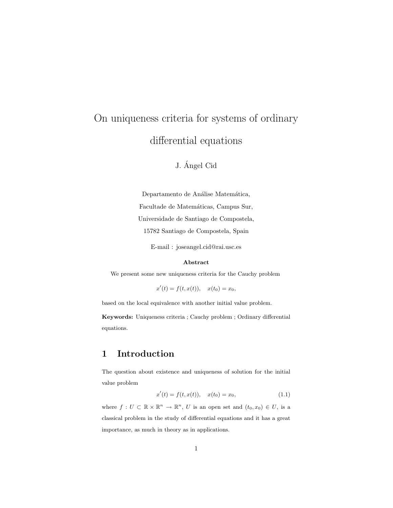# On uniqueness criteria for systems of ordinary differential equations

### J. Angel Cid ´

Departamento de Análise Matemática, Facultade de Matemáticas, Campus Sur, Universidade de Santiago de Compostela, 15782 Santiago de Compostela, Spain

E-mail : joseangel.cid@rai.usc.es

#### Abstract

We present some new uniqueness criteria for the Cauchy problem

 $x'(t) = f(t, x(t)), \quad x(t_0) = x_0,$ 

based on the local equivalence with another initial value problem.

Keywords: Uniqueness criteria ; Cauchy problem ; Ordinary differential equations.

### 1 Introduction

The question about existence and uniqueness of solution for the initial value problem

$$
x'(t) = f(t, x(t)), \quad x(t_0) = x_0,
$$
\n(1.1)

where  $f: U \subset \mathbb{R} \times \mathbb{R}^n \to \mathbb{R}^n$ , U is an open set and  $(t_0, x_0) \in U$ , is a classical problem in the study of differential equations and it has a great importance, as much in theory as in applications.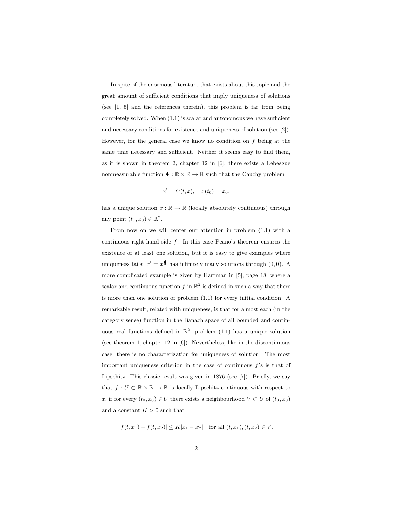In spite of the enormous literature that exists about this topic and the great amount of sufficient conditions that imply uniqueness of solutions (see [1, 5] and the references therein), this problem is far from being completely solved. When (1.1) is scalar and autonomous we have sufficient and necessary conditions for existence and uniqueness of solution (see [2]). However, for the general case we know no condition on  $f$  being at the same time necessary and sufficient. Neither it seems easy to find them, as it is shown in theorem 2, chapter 12 in [6], there exists a Lebesgue nonmeasurable function  $\Psi : \mathbb{R} \times \mathbb{R} \to \mathbb{R}$  such that the Cauchy problem

$$
x' = \Psi(t, x), \quad x(t_0) = x_0,
$$

has a unique solution  $x : \mathbb{R} \to \mathbb{R}$  (locally absolutely continuous) through any point  $(t_0, x_0) \in \mathbb{R}^2$ .

From now on we will center our attention in problem (1.1) with a continuous right-hand side  $f$ . In this case Peano's theorem ensures the existence of at least one solution, but it is easy to give examples where uniqueness fails:  $x' = x^{\frac{2}{3}}$  has infinitely many solutions through (0,0). A more complicated example is given by Hartman in [5], page 18, where a scalar and continuous function f in  $\mathbb{R}^2$  is defined in such a way that there is more than one solution of problem (1.1) for every initial condition. A remarkable result, related with uniqueness, is that for almost each (in the category sense) function in the Banach space of all bounded and continuous real functions defined in  $\mathbb{R}^2$ , problem (1.1) has a unique solution (see theorem 1, chapter 12 in [6]). Nevertheless, like in the discontinuous case, there is no characterization for uniqueness of solution. The most important uniqueness criterion in the case of continuous  $f$ 's is that of Lipschitz. This classic result was given in 1876 (see [7]). Briefly, we say that  $f:U\subset \mathbb{R}\times \mathbb{R}\rightarrow \mathbb{R}$  is locally Lipschitz continuous with respect to x, if for every  $(t_0, x_0) \in U$  there exists a neighbourhood  $V \subset U$  of  $(t_0, x_0)$ and a constant  $K > 0$  such that

$$
|f(t, x_1) - f(t, x_2)| \le K|x_1 - x_2| \quad \text{for all } (t, x_1), (t, x_2) \in V.
$$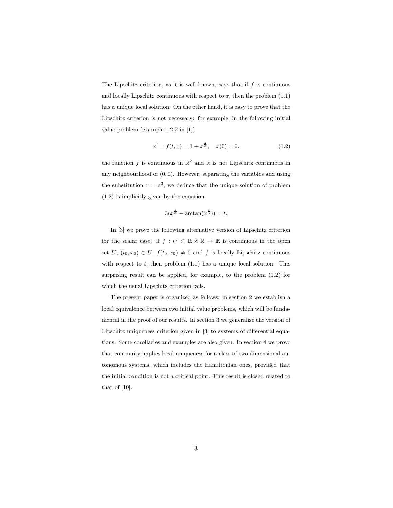The Lipschitz criterion, as it is well-known, says that if  $f$  is continuous and locally Lipschitz continuous with respect to  $x$ , then the problem  $(1.1)$ has a unique local solution. On the other hand, it is easy to prove that the Lipschitz criterion is not necessary: for example, in the following initial value problem (example 1.2.2 in [1])

$$
x' = f(t, x) = 1 + x^{\frac{2}{3}}, \quad x(0) = 0,
$$
\n(1.2)

the function f is continuous in  $\mathbb{R}^2$  and it is not Lipschitz continuous in any neighbourhood of  $(0, 0)$ . However, separating the variables and using the substitution  $x = z<sup>3</sup>$ , we deduce that the unique solution of problem (1.2) is implicitly given by the equation

$$
3(x^{\frac{1}{3}} - \arctan(x^{\frac{1}{3}})) = t.
$$

In [3] we prove the following alternative version of Lipschitz criterion for the scalar case: if  $f\,:\,U\,\subset\,\mathbb{R}\times\mathbb{R}\,\to\,\mathbb{R}$  is continuous in the open set U,  $(t_0, x_0) \in U$ ,  $f(t_0, x_0) \neq 0$  and f is locally Lipschitz continuous with respect to  $t$ , then problem  $(1.1)$  has a unique local solution. This surprising result can be applied, for example, to the problem (1.2) for which the usual Lipschitz criterion fails.

The present paper is organized as follows: in section 2 we establish a local equivalence between two initial value problems, which will be fundamental in the proof of our results. In section 3 we generalize the version of Lipschitz uniqueness criterion given in [3] to systems of differential equations. Some corollaries and examples are also given. In section 4 we prove that continuity implies local uniqueness for a class of two dimensional autonomous systems, which includes the Hamiltonian ones, provided that the initial condition is not a critical point. This result is closed related to that of [10].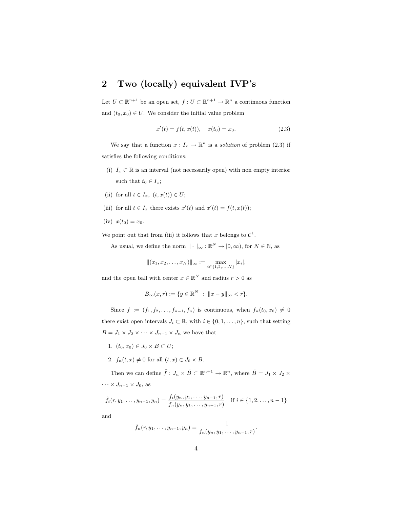### 2 Two (locally) equivalent IVP's

Let  $U \subset \mathbb{R}^{n+1}$  be an open set,  $f: U \subset \mathbb{R}^{n+1} \to \mathbb{R}^n$  a continuous function and  $(t_0, x_0) \in U$ . We consider the initial value problem

$$
x'(t) = f(t, x(t)), \quad x(t_0) = x_0.
$$
 (2.3)

We say that a function  $x: I_x \to \mathbb{R}^n$  is a *solution* of problem (2.3) if satisfies the following conditions:

- (i)  $I_x \subset \mathbb{R}$  is an interval (not necessarily open) with non empty interior such that  $t_0 \in I_x$ ;
- (ii) for all  $t \in I_x$ ,  $(t, x(t)) \in U$ ;
- (iii) for all  $t \in I_x$  there exists  $x'(t)$  and  $x'(t) = f(t, x(t));$
- (iv)  $x(t_0) = x_0$ .

We point out that from (iii) it follows that x belongs to  $\mathcal{C}^1$ .

As usual, we define the norm  $\|\cdot\|_{\infty} : \mathbb{R}^{N} \to [0, \infty)$ , for  $N \in \mathbb{N}$ , as

$$
|| (x_1, x_2, \dots, x_N) ||_{\infty} := \max_{i \in \{1, 2, \dots, N\}} |x_i|,
$$

and the open ball with center  $x \in \mathbb{R}^N$  and radius  $r > 0$  as

$$
B_{\infty}(x,r) := \{ y \in \mathbb{R}^{N} : ||x - y||_{\infty} < r \}.
$$

Since  $f := (f_1, f_2, \ldots, f_{n-1}, f_n)$  is continuous, when  $f_n(t_0, x_0) \neq 0$ there exist open intervals  $J_i \subset \mathbb{R}$ , with  $i \in \{0, 1, \ldots, n\}$ , such that setting  $B = J_1 \times J_2 \times \cdots \times J_{n-1} \times J_n$  we have that

- 1.  $(t_0, x_0) \in J_0 \times B \subset U;$
- 2.  $f_n(t, x) \neq 0$  for all  $(t, x) \in J_0 \times B$ .

Then we can define  $\tilde{f}: J_n \times \tilde{B} \subset \mathbb{R}^{n+1} \to \mathbb{R}^n$ , where  $\tilde{B} = J_1 \times J_2 \times$  $\cdots \times J_{n-1} \times J_0$ , as

$$
\tilde{f}_i(r, y_1, \dots, y_{n-1}, y_n) = \frac{f_i(y_n, y_1, \dots, y_{n-1}, r)}{f_n(y_n, y_1, \dots, y_{n-1}, r)} \quad \text{if } i \in \{1, 2, \dots, n-1\}
$$

and

$$
\tilde{f}_n(r, y_1, \ldots, y_{n-1}, y_n) = \frac{1}{f_n(y_n, y_1, \ldots, y_{n-1}, r)}.
$$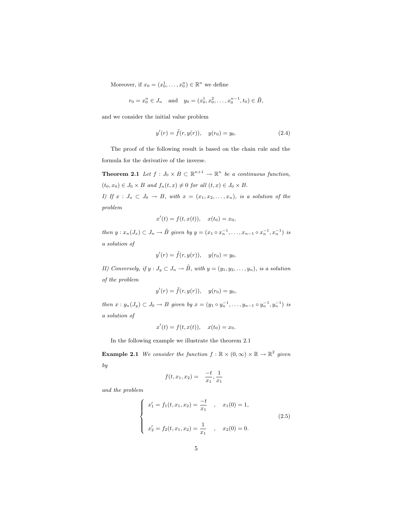Moreover, if  $x_0 = (x_0^1, \ldots, x_0^n) \in \mathbb{R}^n$  we define

$$
r_0 = x_0^n \in J_n
$$
 and  $y_0 = (x_0^1, x_0^2, \dots, x_0^{n-1}, t_0) \in \tilde{B}$ ,

and we consider the initial value problem

$$
y'(r) = \tilde{f}(r, y(r)), \quad y(r_0) = y_0.
$$
 (2.4)

The proof of the following result is based on the chain rule and the formula for the derivative of the inverse.

**Theorem 2.1** Let  $f: J_0 \times B \subset \mathbb{R}^{n+1} \to \mathbb{R}^n$  be a continuous function,  $(t_0, x_0) \in J_0 \times B$  and  $f_n(t, x) \neq 0$  for all  $(t, x) \in J_0 \times B$ . I) If  $x : J_x \subset J_0 \to B$ , with  $x = (x_1, x_2, \ldots, x_n)$ , is a solution of the

problem

$$
x'(t) = f(t, x(t)), \quad x(t_0) = x_0,
$$

then  $y: x_n(J_x) \subset J_n \to \tilde{B}$  given by  $y = (x_1 \circ x_n^{-1}, \dots, x_{n-1} \circ x_n^{-1}, x_n^{-1})$  is a solution of

$$
y'(r) = \tilde{f}(r, y(r)), \quad y(r_0) = y_0.
$$

II) Conversely, if  $y: J_y \subset J_n \to \tilde{B}$ , with  $y = (y_1, y_2, \ldots, y_n)$ , is a solution of the problem

$$
y'(r) = \tilde{f}(r, y(r)), \quad y(r_0) = y_0,
$$

then  $x: y_n(J_y) \subset J_0 \to B$  given by  $x = (y_1 \circ y_n^{-1}, \ldots, y_{n-1} \circ y_n^{-1}, y_n^{-1})$  is a solution of

$$
x'(t) = f(t, x(t)), \quad x(t_0) = x_0.
$$

In the following example we illustrate the theorem 2.1

**Example 2.1** We consider the function  $f : \mathbb{R} \times (0, \infty) \times \mathbb{R} \to \mathbb{R}^2$  given by

$$
f(t, x_1, x_2) = -\frac{t}{x_1}, \frac{1}{x_1}
$$

and the problem

$$
\begin{cases}\nx'_1 = f_1(t, x_1, x_2) = \frac{-t}{x_1}, & x_1(0) = 1, \\
x'_2 = f_2(t, x_1, x_2) = \frac{1}{x_1}, & x_2(0) = 0.\n\end{cases}
$$
\n(2.5)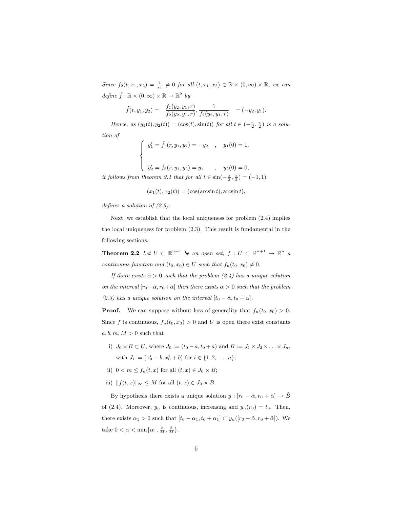Since  $f_2(t, x_1, x_2) = \frac{1}{x_1} \neq 0$  for all  $(t, x_1, x_2) \in \mathbb{R} \times (0, \infty) \times \mathbb{R}$ , we can define  $\tilde{f} : \mathbb{R} \times (0, \infty) \times \mathbb{R} \to \mathbb{R}^2$  by

$$
\tilde{f}(r, y_1, y_2) = \frac{f_1(y_2, y_1, r)}{f_2(y_2, y_1, r)}, \frac{1}{f_2(y_2, y_1, r)} = (-y_2, y_1).
$$

Hence, as  $(y_1(t), y_2(t)) = (\cos(t), \sin(t))$  for all  $t \in (-\frac{\pi}{2}, \frac{\pi}{2})$  is a solu-

tion of

$$
\begin{cases}\ny'_1 = \tilde{f}_1(r, y_1, y_2) = -y_2, & y_1(0) = 1, \\
y'_2 = \tilde{f}_2(r, y_1, y_2) = y_1, & y_2(0) = 0,\n\end{cases}
$$

it follows from theorem 2.1 that for all  $t \in \sin(-\frac{\pi}{2}, \frac{\pi}{2}) = (-1, 1)$ 

$$
(x_1(t), x_2(t)) = (\cos(\arcsin t), \arcsin t),
$$

defines a solution of (2.5).

Next, we establish that the local uniqueness for problem (2.4) implies the local uniqueness for problem (2.3). This result is fundamental in the following sections.

**Theorem 2.2** Let  $U \subset \mathbb{R}^{n+1}$  be an open set,  $f: U \subset \mathbb{R}^{n+1} \to \mathbb{R}^n$  a continuous function and  $(t_0, x_0) \in U$  such that  $f_n(t_0, x_0) \neq 0$ .

If there exists  $\tilde{\alpha} > 0$  such that the problem (2.4) has a unique solution on the interval  $[r_0-\tilde{\alpha}, r_0+\tilde{\alpha}]$  then there exists  $\alpha > 0$  such that the problem (2.3) has a unique solution on the interval  $[t_0 - \alpha, t_0 + \alpha]$ .

**Proof.** We can suppose without loss of generality that  $f_n(t_0, x_0) > 0$ . Since f is continuous,  $f_n(t_0, x_0) > 0$  and U is open there exist constants  $a, b, m, M > 0$  such that

i)  $J_0 \times B \subset U$ , where  $J_0 := (t_0 - a, t_0 + a)$  and  $B := J_1 \times J_2 \times \ldots \times J_n$ , with  $J_i := (x_0^i - b, x_0^i + b)$  for  $i \in \{1, 2, ..., n\};$ 

- ii)  $0 < m \leq f_n(t, x)$  for all  $(t, x) \in J_0 \times B$ ;
- iii)  $|| f(t, x) ||_{\infty} \leq M$  for all  $(t, x) \in J_0 \times B$ .

By hypothesis there exists a unique solution  $y : [r_0 - \tilde{\alpha}, r_0 + \tilde{\alpha}] \rightarrow \tilde{B}$ of (2.4). Moreover,  $y_n$  is continuous, increasing and  $y_n(r_0) = t_0$ . Then, there exists  $\alpha_1 > 0$  such that  $[t_0 - \alpha_1, t_0 + \alpha_1] \subset y_n([r_0 - \tilde{\alpha}, r_0 + \tilde{\alpha}])$ . We take  $0 < \alpha < \min\{\alpha_1, \frac{b}{M}, \frac{\tilde{\alpha}}{M}\}.$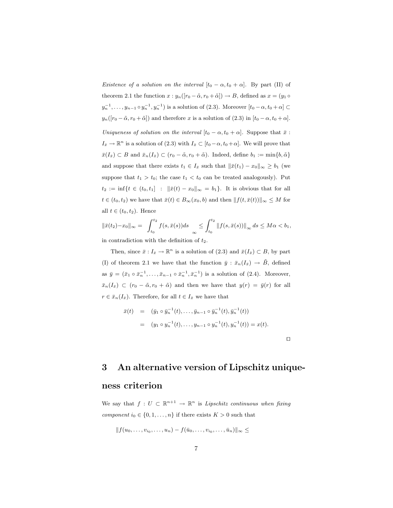Existence of a solution on the interval  $[t_0 - \alpha, t_0 + \alpha]$ . By part (II) of theorem 2.1 the function  $x : y_n([r_0 - \tilde{\alpha}, r_0 + \tilde{\alpha}]) \to B$ , defined as  $x = (y_1 \circ$  $y_n^{-1}, \ldots, y_{n-1} \circ y_n^{-1}, y_n^{-1})$  is a solution of (2.3). Moreover  $[t_0 - \alpha, t_0 + \alpha] \subset$  $y_n([r_0 - \tilde{\alpha}, r_0 + \tilde{\alpha}])$  and therefore x is a solution of (2.3) in  $[t_0 - \alpha, t_0 + \alpha]$ . Uniqueness of solution on the interval  $[t_0 - \alpha, t_0 + \alpha]$ . Suppose that  $\bar{x}$ :  $I_{\bar{x}} \to \mathbb{R}^n$  is a solution of (2.3) with  $I_{\bar{x}} \subset [t_0 - \alpha, t_0 + \alpha]$ . We will prove that  $\bar{x}(I_{\bar{x}}) \subset B$  and  $\bar{x}_n(I_{\bar{x}}) \subset (r_0 - \tilde{\alpha}, r_0 + \tilde{\alpha})$ . Indeed, define  $b_1 := \min\{b, \tilde{\alpha}\}\$ and suppose that there exists  $t_1 \in I_{\bar{x}}$  such that  $\|\bar{x}(t_1) - x_0\|_{\infty} \geq b_1$  (we suppose that  $t_1 > t_0$ ; the case  $t_1 < t_0$  can be treated analogously). Put  $t_2 := \inf\{t \in (t_0, t_1] : ||\bar{x}(t) - x_0||_{\infty} = b_1\}.$  It is obvious that for all  $t \in (t_0, t_2)$  we have that  $\bar{x}(t) \in B_\infty(x_0, b)$  and then  $|| f(t, \bar{x}(t)) ||_\infty \leq M$  for all  $t \in (t_0, t_2)$ . Hence

$$
\|\bar{x}(t_2) - x_0\|_{\infty} = \int_{t_0}^{t_2} f(s, \bar{x}(s))ds \leq \int_{t_0}^{t_2} \|f(s, \bar{x}(s))\|_{\infty} ds \leq M\alpha < b_1,
$$
  
in contradiction with the definition of  $t_2$ .

Then, since  $\bar{x}: I_{\bar{x}} \to \mathbb{R}^n$  is a solution of  $(2.3)$  and  $\bar{x}(I_{\bar{x}}) \subset B$ , by part (I) of theorem 2.1 we have that the function  $\bar{y}$  :  $\bar{x}_n(I_{\bar{x}}) \rightarrow \tilde{B}$ , defined as  $\bar{y} = (\bar{x}_1 \circ \bar{x}_n^{-1}, \dots, \bar{x}_{n-1} \circ \bar{x}_n^{-1}, \bar{x}_n^{-1})$  is a solution of (2.4). Moreover,  $\bar{x}_n(I_{\bar{x}}) \subset (r_0 - \tilde{\alpha}, r_0 + \tilde{\alpha})$  and then we have that  $y(r) = \bar{y}(r)$  for all  $r \in \bar{x}_n(I_{\bar{x}})$ . Therefore, for all  $t \in I_{\bar{x}}$  we have that

$$
\begin{array}{rcl}\n\bar{x}(t) & = & (\bar{y}_1 \circ \bar{y}_n^{-1}(t), \dots, \bar{y}_{n-1} \circ \bar{y}_n^{-1}(t), \bar{y}_n^{-1}(t)) \\
& = & (y_1 \circ y_n^{-1}(t), \dots, y_{n-1} \circ y_n^{-1}(t), y_n^{-1}(t)) = x(t).\n\end{array}
$$

 $\Box$ 

### 3 An alternative version of Lipschitz unique-

### ness criterion

We say that  $f: U \subset \mathbb{R}^{n+1} \to \mathbb{R}^n$  is Lipschitz continuous when fixing *component*  $i_0 \in \{0, 1, \ldots, n\}$  if there exists  $K > 0$  such that

$$
||f(u_0,\ldots,v_{i_0},\ldots,u_n)-f(\bar{u}_0,\ldots,v_{i_0},\ldots,\bar{u}_n)||_{\infty}\leq
$$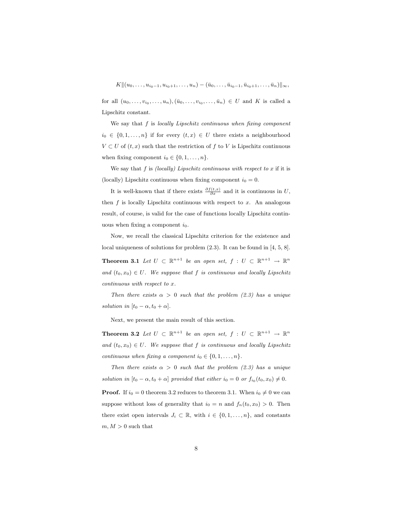$K||(u_0, \ldots, u_{i_0-1}, u_{i_0+1}, \ldots, u_n) - (\bar{u}_0, \ldots, \bar{u}_{i_0-1}, \bar{u}_{i_0+1}, \ldots, \bar{u}_n)||_{\infty},$ 

for all  $(u_0,\ldots,v_{i_0},\ldots,u_n),(\bar{u}_0,\ldots,\bar{v}_{i_0},\ldots,\bar{u}_n)\in U$  and K is called a Lipschitz constant.

We say that  $f$  is locally Lipschitz continuous when fixing component  $i_0 \in \{0, 1, \ldots, n\}$  if for every  $(t, x) \in U$  there exists a neighbourhood  $V \subset U$  of  $(t, x)$  such that the restriction of f to V is Lipschitz continuous when fixing component  $i_0 \in \{0, 1, \ldots, n\}.$ 

We say that f is (locally) Lipschitz continuous with respect to  $x$  if it is (locally) Lipschitz continuous when fixing component  $i_0 = 0$ .

It is well-known that if there exists  $\frac{\partial f(t,x)}{\partial x}$  and it is continuous in U, then  $f$  is locally Lipschitz continuous with respect to  $x$ . An analogous result, of course, is valid for the case of functions locally Lipschitz continuous when fixing a component  $i_0$ .

Now, we recall the classical Lipschitz criterion for the existence and local uniqueness of solutions for problem (2.3). It can be found in [4, 5, 8].

**Theorem 3.1** Let  $U \subset \mathbb{R}^{n+1}$  be an open set,  $f: U \subset \mathbb{R}^{n+1} \to \mathbb{R}^n$ and  $(t_0, x_0) \in U$ . We suppose that f is continuous and locally Lipschitz continuous with respect to x.

Then there exists  $\alpha > 0$  such that the problem (2.3) has a unique solution in  $[t_0 - \alpha, t_0 + \alpha]$ .

Next, we present the main result of this section.

**Theorem 3.2** Let  $U \subset \mathbb{R}^{n+1}$  be an open set,  $f: U \subset \mathbb{R}^{n+1} \to \mathbb{R}^n$ and  $(t_0, x_0) \in U$ . We suppose that f is continuous and locally Lipschitz continuous when fixing a component  $i_0 \in \{0, 1, \ldots, n\}.$ 

Then there exists  $\alpha > 0$  such that the problem (2.3) has a unique solution in  $[t_0 - \alpha, t_0 + \alpha]$  provided that either  $i_0 = 0$  or  $f_{i_0}(t_0, x_0) \neq 0$ .

**Proof.** If  $i_0 = 0$  theorem 3.2 reduces to theorem 3.1. When  $i_0 \neq 0$  we can suppose without loss of generality that  $i_0 = n$  and  $f_n(t_0, x_0) > 0$ . Then there exist open intervals  $J_i \subset \mathbb{R}$ , with  $i \in \{0, 1, \ldots, n\}$ , and constants  $m, M > 0$  such that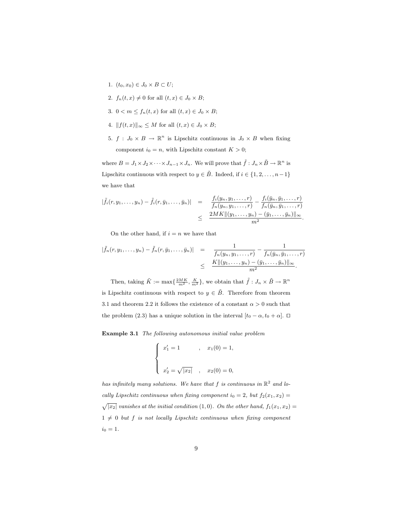- 1.  $(t_0, x_0) \in J_0 \times B \subset U;$
- 2.  $f_n(t, x) \neq 0$  for all  $(t, x) \in J_0 \times B$ ;
- 3.  $0 < m \leq f_n(t, x)$  for all  $(t, x) \in J_0 \times B$ ;
- 4.  $||f(t, x)||_{\infty} \leq M$  for all  $(t, x) \in J_0 \times B$ ;
- 5.  $f: J_0 \times B \to \mathbb{R}^n$  is Lipschitz continuous in  $J_0 \times B$  when fixing component  $i_0 = n$ , with Lipschitz constant  $K > 0$ ;

where  $B = J_1 \times J_2 \times \cdots \times J_{n-1} \times J_n$ . We will prove that  $\tilde{f}: J_n \times \tilde{B} \to \mathbb{R}^n$  is Lipschitz continuous with respect to  $y \in \tilde{B}$ . Indeed, if  $i \in \{1, 2, ..., n-1\}$ we have that

$$
|\tilde{f}_i(r, y_1, \ldots, y_n) - \tilde{f}_i(r, \bar{y}_1, \ldots, \bar{y}_n)| = \frac{f_i(y_n, y_1, \ldots, r)}{f_n(y_n, y_1, \ldots, r)} - \frac{f_i(\bar{y}_n, \bar{y}_1, \ldots, r)}{f_n(\bar{y}_n, \bar{y}_1, \ldots, r)} \le \frac{2MK \|(y_1, \ldots, y_n) - (\bar{y}_1, \ldots, \bar{y}_n)\|_{\infty}}{m^2}.
$$

On the other hand, if  $i = n$  we have that

$$
|\tilde{f}_n(r, y_1, \ldots, y_n) - \tilde{f}_n(r, \bar{y}_1, \ldots, \bar{y}_n)| = \frac{1}{f_n(y_n, y_1, \ldots, r)} - \frac{1}{f_n(\bar{y}_n, \bar{y}_1, \ldots, r)} \leq \frac{K ||(y_1, \ldots, y_n) - (\bar{y}_1, \ldots, \bar{y}_n)||_{\infty}}{m^2}.
$$

Then, taking  $\tilde{K} := \max\{\frac{2MK}{m^2}, \frac{K}{m^2}\}\$ , we obtain that  $\tilde{f}: J_n \times \tilde{B} \to \mathbb{R}^n$ is Lipschitz continuous with respect to  $y \in \tilde{B}$ . Therefore from theorem 3.1 and theorem 2.2 it follows the existence of a constant  $\alpha > 0$  such that the problem (2.3) has a unique solution in the interval  $[t_0 - \alpha, t_0 + \alpha]$ .  $\Box$ 

Example 3.1 The following autonomous initial value problem

$$
\begin{cases}\nx'_1 = 1 & , x_1(0) = 1, \\
x'_2 = \sqrt{|x_2|} & , x_2(0) = 0,\n\end{cases}
$$

has infinitely many solutions. We have that f is continuous in  $\mathbb{R}^2$  and locally Lipschitz continuous when fixing component  $i_0 = 2$ , but  $f_2(x_1, x_2) =$  $\sqrt{|x_2|}$  vanishes at the initial condition (1,0). On the other hand,  $f_1(x_1, x_2) =$  $1 \neq 0$  but f is not locally Lipschitz continuous when fixing component  $i_0 = 1.$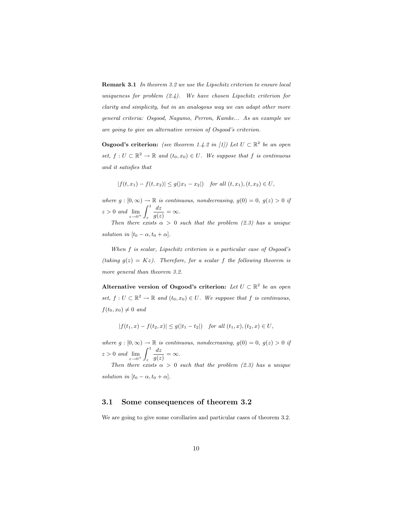Remark 3.1 In theorem 3.2 we use the Lipschitz criterion to ensure local uniqueness for problem  $(2.4)$ . We have chosen Lipschitz criterion for clarity and simplicity, but in an analogous way we can adapt other more general criteria: Osgood, Nagumo, Perron, Kamke... As an example we are going to give an alternative version of Osgood's criterion.

**Osgood's criterion:** (see theorem 1.4.2 in [1]) Let  $U \subset \mathbb{R}^2$  be an open set,  $f: U \subset \mathbb{R}^2 \to \mathbb{R}$  and  $(t_0, x_0) \in U$ . We suppose that f is continuous and it satisfies that

$$
|f(t,x_1)-f(t,x_2)|\leq g(|x_1-x_2|)\quad \text{for all } (t,x_1), (t,x_2)\in U,
$$

where  $g : [0, \infty) \to \mathbb{R}$  is continuous, nondecreasing,  $g(0) = 0$ ,  $g(z) > 0$  if  $z > 0$  and  $\lim_{\varepsilon \to 0^+}$  $\overline{r^1}$ ε dz  $\frac{dz}{g(z)} = \infty.$ 

Then there exists  $\alpha > 0$  such that the problem (2.3) has a unique solution in  $[t_0 - \alpha, t_0 + \alpha]$ .

When f is scalar, Lipschitz criterion is a particular case of Osgood's (taking  $g(z) = Kz$ ). Therefore, for a scalar f the following theorem is more general than theorem 3.2.

Alternative version of Osgood's criterion: Let  $U \subset \mathbb{R}^2$  be an open set,  $f: U \subset \mathbb{R}^2 \to \mathbb{R}$  and  $(t_0, x_0) \in U$ . We suppose that f is continuous,  $f(t_0, x_0) \neq 0$  and

$$
|f(t_1,x)-f(t_2,x)|\leq g(|t_1-t_2|) \quad \text{for all } (t_1,x), (t_2,x)\in U,
$$

where  $g : [0, \infty) \to \mathbb{R}$  is continuous, nondecreasing,  $g(0) = 0$ ,  $g(z) > 0$  if  $z > 0$  and  $\lim_{\varepsilon \to 0^+}$  $\frac{1}{\rho}$ ε dz  $\frac{dz}{g(z)} = \infty.$ 

Then there exists  $\alpha > 0$  such that the problem (2.3) has a unique solution in  $[t_0 - \alpha, t_0 + \alpha]$ .

#### 3.1 Some consequences of theorem 3.2

We are going to give some corollaries and particular cases of theorem 3.2.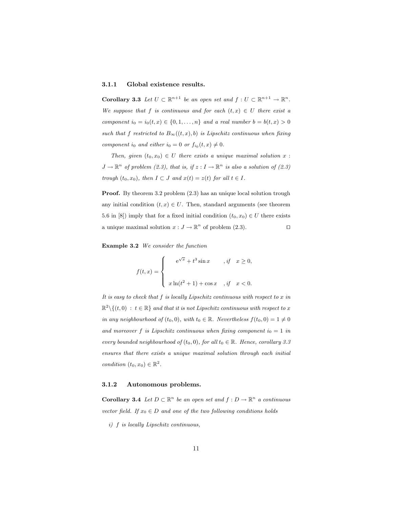#### 3.1.1 Global existence results.

**Corollary 3.3** Let  $U \subset \mathbb{R}^{n+1}$  be an open set and  $f: U \subset \mathbb{R}^{n+1} \to \mathbb{R}^n$ . We suppose that f is continuous and for each  $(t, x) \in U$  there exist a component  $i_0 = i_0(t, x) \in \{0, 1, \ldots, n\}$  and a real number  $b = b(t, x) > 0$ such that f restricted to  $B_{\infty}((t, x), b)$  is Lipschitz continuous when fixing component io and either  $i_0 = 0$  or  $f_{i_0}(t, x) \neq 0$ .

Then, given  $(t_0, x_0) \in U$  there exists a unique maximal solution x:  $J \to \mathbb{R}^n$  of problem (2.3), that is, if  $z : I \to \mathbb{R}^n$  is also a solution of (2.3) trough  $(t_0, x_0)$ , then  $I \subset J$  and  $x(t) = z(t)$  for all  $t \in I$ .

Proof. By theorem 3.2 problem  $(2.3)$  has an unique local solution trough any initial condition  $(t, x) \in U$ . Then, standard arguments (see theorem 5.6 in [8]) imply that for a fixed initial condition  $(t_0, x_0) \in U$  there exists a unique maximal solution  $x: J \to \mathbb{R}^n$  of problem (2.3).

Example 3.2 We consider the function

$$
f(t,x) = \begin{cases} e^{\sqrt{x}} + t^3 \sin x, & \text{if } x \ge 0, \\ x \ln(t^2 + 1) + \cos x, & \text{if } x < 0. \end{cases}
$$

It is easy to check that  $f$  is locally Lipschitz continuous with respect to  $x$  in  $\mathbb{R}^2 \setminus \{(t,0) : t \in \mathbb{R}\}\$ and that it is not Lipschitz continuous with respect to x in any neighbourhood of  $(t_0, 0)$ , with  $t_0 \in \mathbb{R}$ . Nevertheless  $f(t_0, 0) = 1 \neq 0$ and moreover f is Lipschitz continuous when fixing component  $i_0 = 1$  in every bounded neighbourhood of  $(t_0, 0)$ , for all  $t_0 \in \mathbb{R}$ . Hence, corollary 3.3 ensures that there exists a unique maximal solution through each initial condition  $(t_0, x_0) \in \mathbb{R}^2$ .

#### 3.1.2 Autonomous problems.

**Corollary 3.4** Let  $D \subset \mathbb{R}^n$  be an open set and  $f: D \to \mathbb{R}^n$  a continuous vector field. If  $x_0 \in D$  and one of the two following conditions holds

i) f is locally Lipschitz continuous,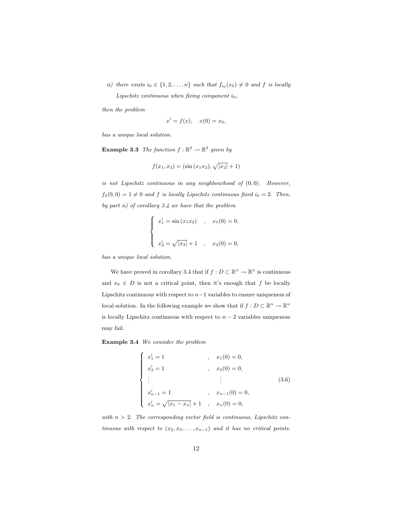ii) there exists  $i_0 \in \{1, 2, ..., n\}$  such that  $f_{i_0}(x_0) \neq 0$  and f is locally Lipschitz continuous when fixing component  $i_0$ ,

then the problem

$$
x'=f(x), \quad x(0)=x_0,
$$

has a unique local solution.

**Example 3.3** The function  $f : \mathbb{R}^2 \to \mathbb{R}^2$  given by

$$
f(x_1, x_2) = (\sin(x_1 x_2), \sqrt{|x_2|} + 1)
$$

is not Lipschitz continuous in any neighbourhood of  $(0, 0)$ . However,  $f_2(0, 0) = 1 \neq 0$  and f is locally Lipschitz continuous fixed  $i_0 = 2$ . Then, by part ii) of corollary 3.4 we have that the problem

$$
\begin{cases}\nx'_1 = \sin(x_1 x_2) & , x_1(0) = 0, \\
x'_2 = \sqrt{|x_2|} + 1 & , x_2(0) = 0,\n\end{cases}
$$

has a unique local solution.

We have proved in corollary 3.4 that if  $f: D \subset \mathbb{R}^n \to \mathbb{R}^n$  is continuous and  $x_0 \in D$  is not a critical point, then it's enough that f be locally Lipschitz continuous with respect to  $n-1$  variables to ensure uniqueness of local solution. In the following example we show that if  $f: D \subset \mathbb{R}^n \to \mathbb{R}^n$ is locally Lipschitz continuous with respect to  $n-2$  variables uniqueness may fail.

Example 3.4 We consider the problem

$$
\begin{cases}\nx'_1 = 1 & , x_1(0) = 0, \\
x'_2 = 1 & , x_2(0) = 0, \\
\vdots & \vdots \\
x'_{n-1} = 1 & , x_{n-1}(0) = 0, \\
x'_n = \sqrt{|x_1 - x_n|} + 1 & , x_n(0) = 0,\n\end{cases}
$$
\n(3.6)

with  $n > 2$ . The corresponding vector field is continuous, Lipschitz continuous with respect to  $(x_2, x_3, \ldots, x_{n-1})$  and it has no critical points.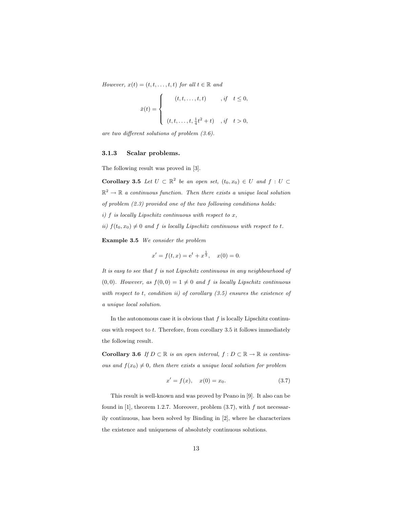However,  $x(t) = (t, t, \ldots, t, t)$  for all  $t \in \mathbb{R}$  and

$$
\bar{x}(t) = \begin{cases}\n(t, t, \dots, t, t) & , \text{if } t \leq 0, \\
( t, t, \dots, t, \frac{1}{4}t^2 + t) & , \text{if } t > 0,\n\end{cases}
$$

are two different solutions of problem (3.6).

#### 3.1.3 Scalar problems.

The following result was proved in [3].

**Corollary 3.5** Let  $U \subset \mathbb{R}^2$  be an open set,  $(t_0, x_0) \in U$  and  $f : U \subset$  $\mathbb{R}^2 \to \mathbb{R}$  a continuous function. Then there exists a unique local solution of problem (2.3) provided one of the two following conditions holds: i)  $f$  is locally Lipschitz continuous with respect to  $x$ , ii)  $f(t_0, x_0) \neq 0$  and f is locally Lipschitz continuous with respect to t.

Example 3.5 We consider the problem

$$
x' = f(t, x) = e^t + x^{\frac{1}{3}}, \quad x(0) = 0.
$$

It is easy to see that f is not Lipschitz continuous in any neighbourhood of  $(0, 0)$ . However, as  $f(0, 0) = 1 \neq 0$  and f is locally Lipschitz continuous with respect to t, condition ii) of corollary  $(3.5)$  ensures the existence of a unique local solution.

In the autonomous case it is obvious that  $f$  is locally Lipschitz continuous with respect to t. Therefore, from corollary 3.5 it follows immediately the following result.

Corollary 3.6 If  $D \subset \mathbb{R}$  is an open interval,  $f : D \subset \mathbb{R} \to \mathbb{R}$  is continuous and  $f(x_0) \neq 0$ , then there exists a unique local solution for problem

$$
x' = f(x), \quad x(0) = x_0.
$$
 (3.7)

This result is well-known and was proved by Peano in [9]. It also can be found in  $[1]$ , theorem 1.2.7. Moreover, problem  $(3.7)$ , with f not necessarily continuous, has been solved by Binding in [2], where he characterizes the existence and uniqueness of absolutely continuous solutions.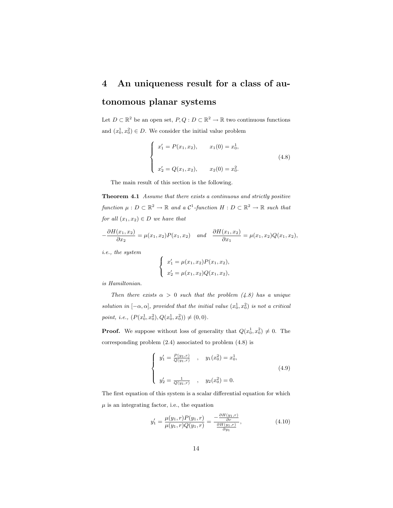## 4 An uniqueness result for a class of au-

### tonomous planar systems

Let  $D \subset \mathbb{R}^2$  be an open set,  $P, Q: D \subset \mathbb{R}^2 \to \mathbb{R}$  two continuous functions and  $(x_0^1, x_0^2) \in D$ . We consider the initial value problem

$$
\begin{cases}\nx'_1 = P(x_1, x_2), & x_1(0) = x_0^1, \\
x'_2 = Q(x_1, x_2), & x_2(0) = x_0^2.\n\end{cases}
$$
\n(4.8)

The main result of this section is the following.

Theorem 4.1 Assume that there exists a continuous and strictly positive function  $\mu: D \subset \mathbb{R}^2 \to \mathbb{R}$  and a  $\mathcal{C}^1$ -function  $H: D \subset \mathbb{R}^2 \to \mathbb{R}$  such that for all  $(x_1, x_2) \in D$  we have that

$$
-\frac{\partial H(x_1, x_2)}{\partial x_2} = \mu(x_1, x_2) P(x_1, x_2) \quad and \quad \frac{\partial H(x_1, x_2)}{\partial x_1} = \mu(x_1, x_2) Q(x_1, x_2),
$$

i.e., the system

$$
\begin{cases}\nx_1' = \mu(x_1, x_2) P(x_1, x_2), \\
x_2' = \mu(x_1, x_2) Q(x_1, x_2),\n\end{cases}
$$

is Hamiltonian.

Then there exists  $\alpha > 0$  such that the problem (4.8) has a unique solution in  $[-\alpha, \alpha]$ , provided that the initial value  $(x_0^1, x_0^2)$  is not a critical point, i.e.,  $(P(x_0^1, x_0^2), Q(x_0^1, x_0^2)) \neq (0, 0)$ .

**Proof.** We suppose without loss of generality that  $Q(x_0^1, x_0^2) \neq 0$ . The corresponding problem (2.4) associated to problem (4.8) is

$$
\begin{cases}\ny'_1 = \frac{P(y_1, r)}{Q(y_1, r)} , & y_1(x_0^2) = x_0^1, \\
y'_2 = \frac{1}{Q(y_1, r)} , & y_2(x_0^2) = 0.\n\end{cases}
$$
\n(4.9)

The first equation of this system is a scalar differential equation for which  $\mu$  is an integrating factor, i.e., the equation

$$
y_1' = \frac{\mu(y_1, r)P(y_1, r)}{\mu(y_1, r)Q(y_1, r)} = \frac{-\frac{\partial H(y_1, r)}{\partial r}}{\frac{\partial H(y_1, r)}{\partial y_1}},\tag{4.10}
$$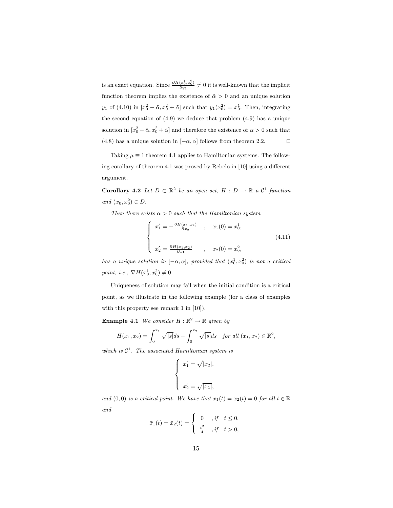is an exact equation. Since  $\frac{\partial H(x_0^1, x_0^2)}{\partial y_1} \neq 0$  it is well-known that the implicit function theorem implies the existence of  $\tilde{\alpha} > 0$  and an unique solution  $y_1$  of (4.10) in  $[x_0^2 - \tilde{\alpha}, x_0^2 + \tilde{\alpha}]$  such that  $y_1(x_0^2) = x_0^1$ . Then, integrating the second equation of (4.9) we deduce that problem (4.9) has a unique solution in  $[x_0^2 - \tilde{\alpha}, x_0^2 + \tilde{\alpha}]$  and therefore the existence of  $\alpha > 0$  such that (4.8) has a unique solution in  $[-\alpha, \alpha]$  follows from theorem 2.2.  $\Box$ 

Taking  $\mu \equiv 1$  theorem 4.1 applies to Hamiltonian systems. The following corollary of theorem 4.1 was proved by Rebelo in [10] using a different argument.

**Corollary 4.2** Let  $D \subset \mathbb{R}^2$  be an open set,  $H : D \to \mathbb{R}$  a  $\mathcal{C}^1$ -function and  $(x_0^1, x_0^2) \in D$ .

Then there exists  $\alpha > 0$  such that the Hamiltonian system

$$
\begin{cases}\nx_1' = -\frac{\partial H(x_1, x_2)}{\partial x_2} , & x_1(0) = x_0^1, \\
x_2' = \frac{\partial H(x_1, x_2)}{\partial x_1} , & x_2(0) = x_0^2,\n\end{cases}
$$
\n(4.11)

has a unique solution in  $[-\alpha, \alpha]$ , provided that  $(x_0^1, x_0^2)$  is not a critical point, i.e.,  $\nabla H(x_0^1, x_0^2) \neq 0$ .

Uniqueness of solution may fail when the initial condition is a critical point, as we illustrate in the following example (for a class of examples with this property see remark 1 in [10]).

**Example 4.1** We consider  $H : \mathbb{R}^2 \to \mathbb{R}$  given by

$$
H(x_1, x_2) = \int_0^{x_1} \sqrt{|s|} ds - \int_0^{x_2} \sqrt{|s|} ds \text{ for all } (x_1, x_2) \in \mathbb{R}^2,
$$

which is  $C^1$ . The associated Hamiltonian system is

$$
\begin{cases}\nx_1' = \sqrt{|x_2|}, \\
x_2' = \sqrt{|x_1|},\n\end{cases}
$$

and  $(0, 0)$  is a critical point. We have that  $x_1(t) = x_2(t) = 0$  for all  $t \in \mathbb{R}$ and  $\overline{ }$ 

$$
\bar{x}_1(t) = \bar{x}_2(t) = \begin{cases}\n0, & \text{if } t \leq 0, \\
\frac{t^2}{4}, & \text{if } t > 0,\n\end{cases}
$$